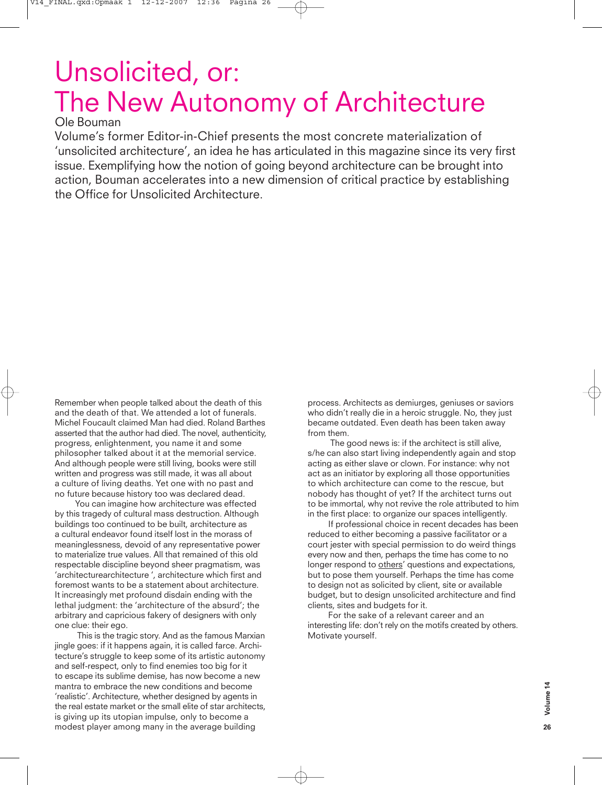## Unsolicited, or: The New Autonomy of Architecture

## Ole Bouman

Volume's former Editor-in-Chief presents the most concrete materialization of 'unsolicited architecture', an idea he has articulated in this magazine since its very first issue. Exemplifying how the notion of going beyond architecture can be brought into action, Bouman accelerates into a new dimension of critical practice by establishing the Office for Unsolicited Architecture.

Remember when people talked about the death of this and the death of that. We attended a lot of funerals. Michel Foucault claimed Man had died. Roland Barthes asserted that the author had died. The novel, authenticity, progress, enlightenment, you name it and some philosopher talked about it at the memorial service. And although people were still living, books were still written and progress was still made, it was all about a culture of living deaths. Yet one with no past and no future because history too was declared dead.

You can imagine how architecture was effected by this tragedy of cultural mass destruction. Although buildings too continued to be built, architecture as a cultural endeavor found itself lost in the morass of meaninglessness, devoid of any representative power to materialize true values. All that remained of this old respectable discipline beyond sheer pragmatism, was 'architecturearchitecture ', architecture which first and foremost wants to be a statement about architecture. It increasingly met profound disdain ending with the lethal judgment: the 'architecture of the absurd'; the arbitrary and capricious fakery of designers with only one clue: their ego.

This is the tragic story. And as the famous Marxian jingle goes: if it happens again, it is called farce. Architecture's struggle to keep some of its artistic autonomy and self-respect, only to find enemies too big for it to escape its sublime demise, has now become a new mantra to embrace the new conditions and become 'realistic'. Architecture, whether designed by agents in the real estate market or the small elite of star architects, is giving up its utopian impulse, only to become a modest player among many in the average building

process. Architects as demiurges, geniuses or saviors who didn't really die in a heroic struggle. No, they just became outdated. Even death has been taken away from them.

The good news is: if the architect is still alive, s/he can also start living independently again and stop acting as either slave or clown. For instance: why not act as an initiator by exploring all those opportunities to which architecture can come to the rescue, but nobody has thought of yet? If the architect turns out to be immortal, why not revive the role attributed to him in the first place: to organize our spaces intelligently.

If professional choice in recent decades has been reduced to either becoming a passive facilitator or a court jester with special permission to do weird things every now and then, perhaps the time has come to no longer respond to others' questions and expectations, but to pose them yourself. Perhaps the time has come to design not as solicited by client, site or available budget, but to design unsolicited architecture and find clients, sites and budgets for it.

For the sake of a relevant career and an interesting life: don't rely on the motifs created by others. Motivate yourself.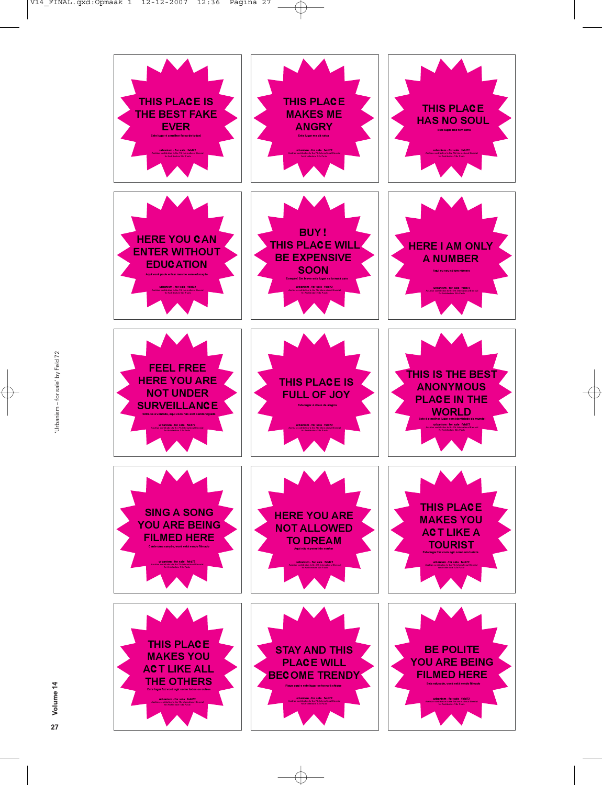

 $\oplus$